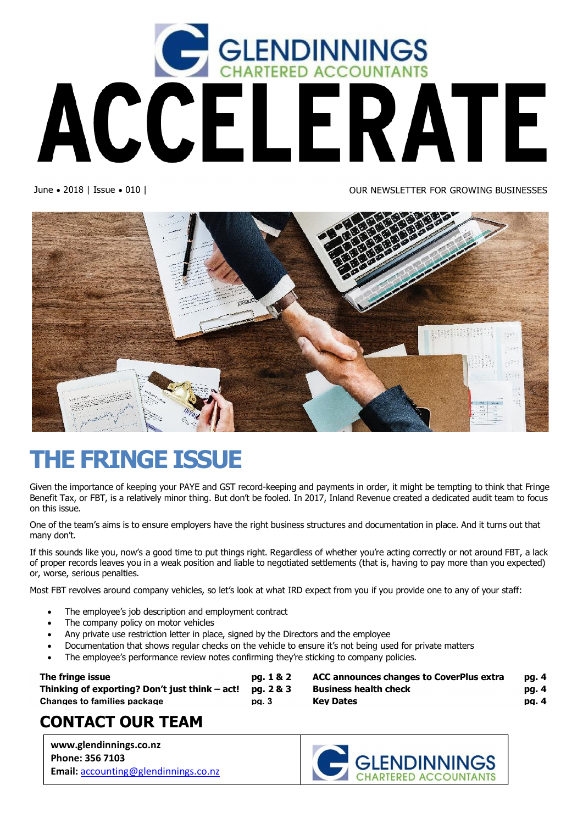

June • 2018 | Issue • 010 | OUR NEWSLETTER FOR GROWING BUSINESSES



# **THE FRINGE ISSUE**

Given the importance of keeping your PAYE and GST record-keeping and payments in order, it might be tempting to think that Fringe Benefit Tax, or FBT, is a relatively minor thing. But don't be fooled. In 2017, Inland Revenue created a dedicated audit team to focus on this issue.

One of the team's aims is to ensure employers have the right business structures and documentation in place. And it turns out that many don't.

If this sounds like you, now's a good time to put things right. Regardless of whether you're acting correctly or not around FBT, a lack of proper records leaves you in a weak position and liable to negotiated settlements (that is, having to pay more than you expected) or, worse, serious penalties.

Most FBT revolves around company vehicles, so let's look at what IRD expect from you if you provide one to any of your staff:

- The employee's job description and employment contract
- The company policy on motor vehicles
- Any private use restriction letter in place, signed by the Directors and the employee
- · Documentation that shows regular checks on the vehicle to ensure it's not being used for private matters
- The employee's performance review notes confirming they're sticking to company policies.

**The fringe issue the pg. 1** and **22 pg. 1 Thinking of exporting? Don't just think – act! pg. 2 & 3 Changes to families package pg. 3**

| & 2 | <b>ACC announces changes to CoverPlus extra</b> | pg. 4 |
|-----|-------------------------------------------------|-------|
| & 3 | <b>Business health check</b>                    | pg. 4 |
|     | <b>Key Dates</b>                                | pa. 4 |
|     |                                                 |       |

### **CONTACT OUR TEAM**

**www.glendinnings.co.nz Phone: 356 7103 Email:** accounting@glendinnings.co.nz

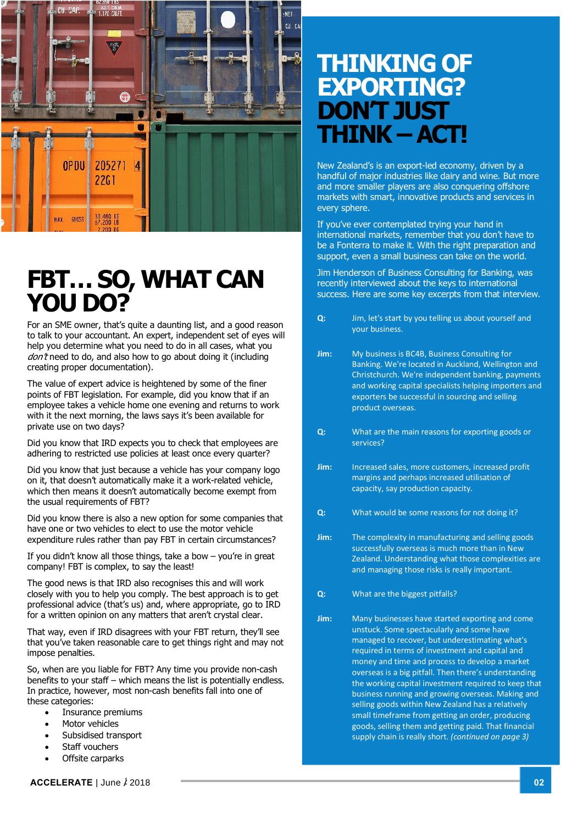

## **FBT… SO, WHAT CAN YOU DO?**

For an SME owner, that's quite a daunting list, and a good reason to talk to your accountant. An expert, independent set of eyes will help you determine what you need to do in all cases, what you  $dont$  need to do, and also how to go about doing it (including creating proper documentation).

The value of expert advice is heightened by some of the finer points of FBT legislation. For example, did you know that if an employee takes a vehicle home one evening and returns to work with it the next morning, the laws says it's been available for private use on two days?

Did you know that IRD expects you to check that employees are adhering to restricted use policies at least once every quarter?

Did you know that just because a vehicle has your company logo on it, that doesn't automatically make it a work-related vehicle, which then means it doesn't automatically become exempt from the usual requirements of FBT?

Did you know there is also a new option for some companies that have one or two vehicles to elect to use the motor vehicle expenditure rules rather than pay FBT in certain circumstances?

If you didn't know all those things, take a bow – you're in great company! FBT is complex, to say the least!

The good news is that IRD also recognises this and will work closely with you to help you comply. The best approach is to get professional advice (that's us) and, where appropriate, go to IRD for a written opinion on any matters that aren't crystal clear.

That way, even if IRD disagrees with your FBT return, they'll see that you've taken reasonable care to get things right and may not impose penalties.

So, when are you liable for FBT? Any time you provide non-cash benefits to your staff – which means the list is potentially endless. In practice, however, most non-cash benefits fall into one of these categories:

- Insurance premiums
- Motor vehicles
- · Subsidised transport
- Staff vouchers
- Offsite carparks

## **THINKING OF EXPORTING? DON'T JUST THINK –ACT!**

New Zealand's is an export-led economy, driven by a handful of major industries like dairy and wine. But more and more smaller players are also conquering offshore markets with smart, innovative products and services in every sphere.

If you've ever contemplated trying your hand in international markets, remember that you don't have to be a Fonterra to make it. With the right preparation and support, even a small business can take on the world.

Jim Henderson of Business Consulting for Banking, was recently interviewed about the keys to international success. Here are some key excerpts from that interview.

- **Q:** Jim, let's start by you telling us about yourself and your business.
- **Jim:** My business is BC4B, Business Consulting for Banking. We're located in Auckland, Wellington and Christchurch. We're independent banking, payments and working capital specialists helping importers and exporters be successful in sourcing and selling product overseas.
- **Q:** What are the main reasons for exporting goods or services?
- **Jim:** Increased sales, more customers, increased profit margins and perhaps increased utilisation of capacity, say production capacity.
- **Q:** What would be some reasons for not doing it?
- **Jim:** The complexity in manufacturing and selling goods successfully overseas is much more than in New Zealand. Understanding what those complexities are and managing those risks is really important.
- **Q:** What are the biggest pitfalls?
- **Jim:** Many businesses have started exporting and come unstuck. Some spectacularly and some have managed to recover, but underestimating what's required in terms of investment and capital and money and time and process to develop a market overseas is a big pitfall. Then there's understanding the working capital investment required to keep that business running and growing overseas. Making and selling goods within New Zealand has a relatively small timeframe from getting an order, producing goods, selling them and getting paid. That financial supply chain is really short. *(continued on page 3)*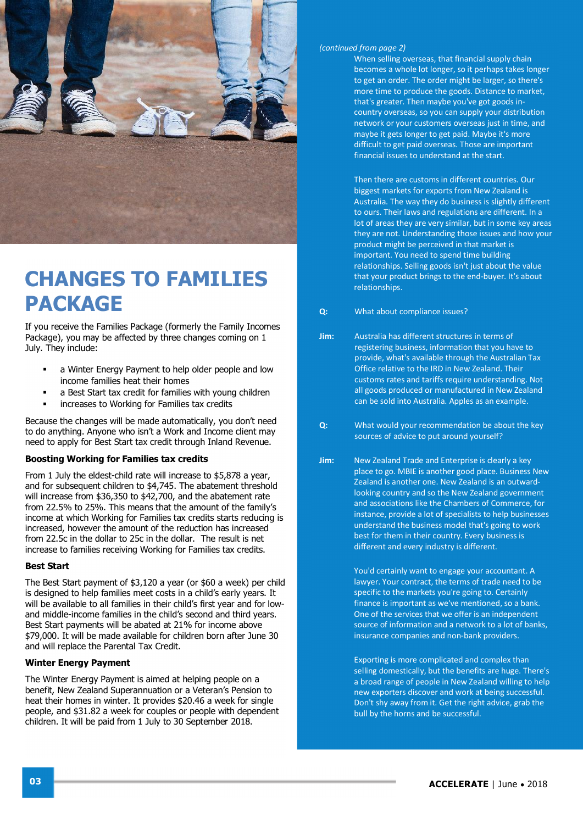

### **CHANGES TO FAMILIES PACKAGE**

If you receive the Families Package (formerly the Family Incomes Package), you may be affected by three changes coming on 1 July. They include:

- a Winter Energy Payment to help older people and low income families heat their homes
- a Best Start tax credit for families with young children
- ß increases to Working for Families tax credits

Because the changes will be made automatically, you don't need to do anything. Anyone who isn't a Work and Income client may need to apply for Best Start tax credit through Inland Revenue.

#### **Boosting Working for Families tax credits**

From 1 July the eldest-child rate will increase to \$5,878 a year, and for subsequent children to \$4,745. The abatement threshold will increase from \$36,350 to \$42,700, and the abatement rate from 22.5% to 25%. This means that the amount of the family's income at which Working for Families tax credits starts reducing is increased, however the amount of the reduction has increased from 22.5c in the dollar to 25c in the dollar. The result is net increase to families receiving Working for Families tax credits.

#### **Best Start**

The Best Start payment of \$3,120 a year (or \$60 a week) per child is designed to help families meet costs in a child's early years. It will be available to all families in their child's first year and for lowand middle-income families in the child's second and third years. Best Start payments will be abated at 21% for income above \$79,000. It will be made available for children born after June 30 and will replace the Parental Tax Credit.

#### **Winter Energy Payment**

The Winter Energy Payment is aimed at helping people on a benefit, New Zealand Superannuation or a Veteran's Pension to heat their homes in winter. It provides \$20.46 a week for single people, and \$31.82 a week for couples or people with dependent children. It will be paid from 1 July to 30 September 2018.

#### *(continued from page 2)*

When selling overseas, that financial supply chain becomes a whole lot longer, so it perhaps takes longer to get an order. The order might be larger, so there's more time to produce the goods. Distance to market, that's greater. Then maybe you've got goods incountry overseas, so you can supply your distribution network or your customers overseas just in time, and maybe it gets longer to get paid. Maybe it's more difficult to get paid overseas. Those are important financial issues to understand at the start.

Then there are customs in different countries. Our biggest markets for exports from New Zealand is Australia. The way they do business is slightly different to ours. Their laws and regulations are different. In a lot of areas they are very similar, but in some key areas they are not. Understanding those issues and how your product might be perceived in that market is important. You need to spend time building relationships. Selling goods isn't just about the value that your product brings to the end-buyer. It's about relationships.

- **Q:** What about compliance issues?
- **Jim:** Australia has different structures in terms of registering business, information that you have to provide, what's available through the Australian Tax Office relative to the IRD in New Zealand. Their customs rates and tariffs require understanding. Not all goods produced or manufactured in New Zealand can be sold into Australia. Apples as an example.
- **Q:** What would your recommendation be about the key sources of advice to put around yourself?
- **Jim:** New Zealand Trade and Enterprise is clearly a key place to go. MBIE is another good place. Business New Zealand is another one. New Zealand is an outwardlooking country and so the New Zealand government and associations like the Chambers of Commerce, for instance, provide a lot of specialists to help businesses understand the business model that's going to work best for them in their country. Every business is different and every industry is different.

You'd certainly want to engage your accountant. A lawyer. Your contract, the terms of trade need to be specific to the markets you're going to. Certainly finance is important as we've mentioned, so a bank. One of the services that we offer is an independent source of information and a network to a lot of banks, insurance companies and non-bank providers.

Exporting is more complicated and complex than selling domestically, but the benefits are huge. There's a broad range of people in New Zealand willing to help new exporters discover and work at being successful. Don't shy away from it. Get the right advice, grab the bull by the horns and be successful.